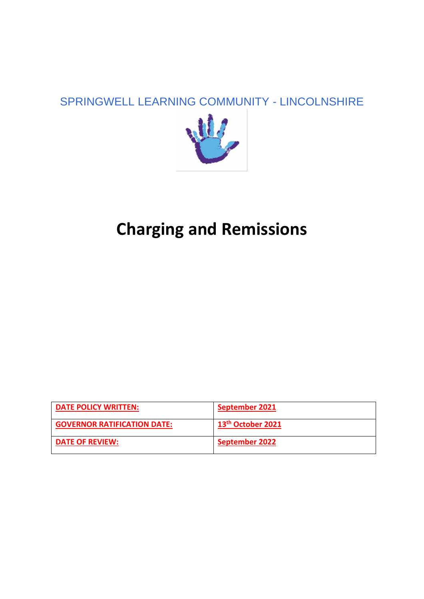## SPRINGWELL LEARNING COMMUNITY - LINCOLNSHIRE



# **Charging and Remissions**

| <b>DATE POLICY WRITTEN:</b>        | September 2021                |
|------------------------------------|-------------------------------|
| <b>GOVERNOR RATIFICATION DATE:</b> | 13 <sup>th</sup> October 2021 |
| <b>DATE OF REVIEW:</b>             | <b>September 2022</b>         |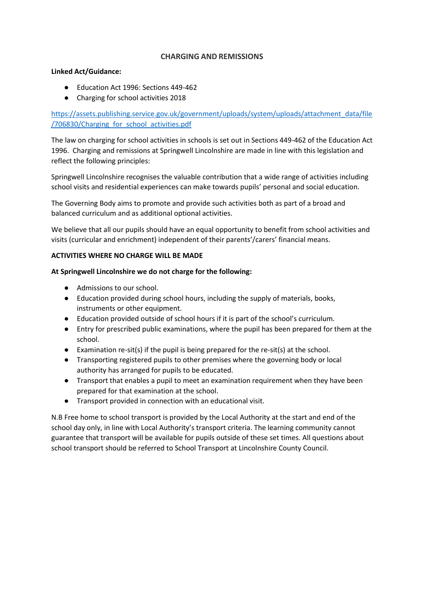### **CHARGING AND REMISSIONS**

#### **Linked Act/Guidance:**

- Education Act 1996: Sections 449-462
- Charging for school activities 2018

[https://assets.publishing.service.gov.uk/government/uploads/system/uploads/attachment\\_data/file](https://assets.publishing.service.gov.uk/government/uploads/system/uploads/attachment_data/file/706830/Charging_for_school_activities.pdf) [/706830/Charging\\_for\\_school\\_activities.pdf](https://assets.publishing.service.gov.uk/government/uploads/system/uploads/attachment_data/file/706830/Charging_for_school_activities.pdf)

The law on charging for school activities in schools is set out in Sections 449-462 of the Education Act 1996. Charging and remissions at Springwell Lincolnshire are made in line with this legislation and reflect the following principles:

Springwell Lincolnshire recognises the valuable contribution that a wide range of activities including school visits and residential experiences can make towards pupils' personal and social education.

The Governing Body aims to promote and provide such activities both as part of a broad and balanced curriculum and as additional optional activities.

We believe that all our pupils should have an equal opportunity to benefit from school activities and visits (curricular and enrichment) independent of their parents'/carers' financial means.

#### **ACTIVITIES WHERE NO CHARGE WILL BE MADE**

#### **At Springwell Lincolnshire we do not charge for the following:**

- Admissions to our school.
- Education provided during school hours, including the supply of materials, books, instruments or other equipment.
- Education provided outside of school hours if it is part of the school's curriculum.
- Entry for prescribed public examinations, where the pupil has been prepared for them at the school.
- $\bullet$  Examination re-sit(s) if the pupil is being prepared for the re-sit(s) at the school.
- Transporting registered pupils to other premises where the governing body or local authority has arranged for pupils to be educated.
- Transport that enables a pupil to meet an examination requirement when they have been prepared for that examination at the school.
- Transport provided in connection with an educational visit.

N.B Free home to school transport is provided by the Local Authority at the start and end of the school day only, in line with Local Authority's transport criteria. The learning community cannot guarantee that transport will be available for pupils outside of these set times. All questions about school transport should be referred to School Transport at Lincolnshire County Council.